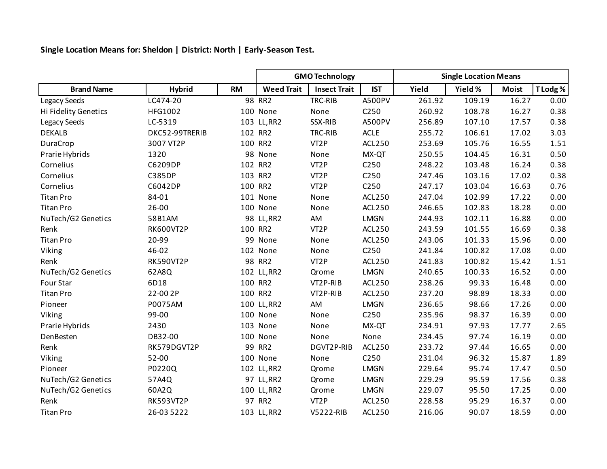**Single Location Means for: Sheldon | District: North | Early-Season Test.**

|                      |                  |           |                   | <b>GMO Technology</b> |                  | <b>Single Location Means</b> |         |              |         |  |
|----------------------|------------------|-----------|-------------------|-----------------------|------------------|------------------------------|---------|--------------|---------|--|
| <b>Brand Name</b>    | <b>Hybrid</b>    | <b>RM</b> | <b>Weed Trait</b> | <b>Insect Trait</b>   | <b>IST</b>       | Yield                        | Yield % | <b>Moist</b> | T Lodg% |  |
| Legacy Seeds         | LC474-20         |           | 98 RR2            | TRC-RIB               | A500PV           | 261.92                       | 109.19  | 16.27        | 0.00    |  |
| Hi Fidelity Genetics | HFG1002          |           | 100 None          | None                  | C250             | 260.92                       | 108.78  | 16.27        | 0.38    |  |
| Legacy Seeds         | LC-5319          |           | 103 LL, RR2       | SSX-RIB               | A500PV           | 256.89                       | 107.10  | 17.57        | 0.38    |  |
| <b>DEKALB</b>        | DKC52-99TRERIB   |           | 102 RR2           | TRC-RIB               | <b>ACLE</b>      | 255.72                       | 106.61  | 17.02        | 3.03    |  |
| DuraCrop             | 3007 VT2P        |           | 100 RR2           | VT <sub>2</sub> P     | <b>ACL250</b>    | 253.69                       | 105.76  | 16.55        | 1.51    |  |
| Prarie Hybrids       | 1320             |           | 98 None           | None                  | MX-QT            | 250.55                       | 104.45  | 16.31        | 0.50    |  |
| Cornelius            | C6209DP          |           | 102 RR2           | VT <sub>2</sub> P     | C250             | 248.22                       | 103.48  | 16.24        | 0.38    |  |
| Cornelius            | <b>C385DP</b>    |           | 103 RR2           | VT <sub>2</sub> P     | C <sub>250</sub> | 247.46                       | 103.16  | 17.02        | 0.38    |  |
| Cornelius            | C6042DP          |           | 100 RR2           | VT <sub>2</sub> P     | C250             | 247.17                       | 103.04  | 16.63        | 0.76    |  |
| <b>Titan Pro</b>     | 84-01            |           | 101 None          | None                  | <b>ACL250</b>    | 247.04                       | 102.99  | 17.22        | 0.00    |  |
| <b>Titan Pro</b>     | 26-00            |           | 100 None          | None                  | <b>ACL250</b>    | 246.65                       | 102.83  | 18.28        | 0.00    |  |
| NuTech/G2 Genetics   | 58B1AM           |           | 98 LL, RR2        | AM                    | <b>LMGN</b>      | 244.93                       | 102.11  | 16.88        | 0.00    |  |
| Renk                 | <b>RK600VT2P</b> |           | 100 RR2           | VT <sub>2</sub> P     | <b>ACL250</b>    | 243.59                       | 101.55  | 16.69        | 0.38    |  |
| <b>Titan Pro</b>     | 20-99            | 99        | None              | None                  | ACL250           | 243.06                       | 101.33  | 15.96        | 0.00    |  |
| Viking               | 46-02            |           | 102 None          | None                  | C250             | 241.84                       | 100.82  | 17.08        | 0.00    |  |
| Renk                 | <b>RK590VT2P</b> |           | 98 RR2            | VT <sub>2</sub> P     | ACL250           | 241.83                       | 100.82  | 15.42        | 1.51    |  |
| NuTech/G2 Genetics   | 62A8Q            |           | 102 LL, RR2       | Qrome                 | LMGN             | 240.65                       | 100.33  | 16.52        | 0.00    |  |
| Four Star            | 6D18             |           | 100 RR2           | VT2P-RIB              | <b>ACL250</b>    | 238.26                       | 99.33   | 16.48        | 0.00    |  |
| <b>Titan Pro</b>     | 22-00 2P         |           | 100 RR2           | VT2P-RIB              | <b>ACL250</b>    | 237.20                       | 98.89   | 18.33        | 0.00    |  |
| Pioneer              | P0075AM          |           | 100 LL, RR2       | AM                    | <b>LMGN</b>      | 236.65                       | 98.66   | 17.26        | 0.00    |  |
| Viking               | 99-00            |           | 100 None          | None                  | C250             | 235.96                       | 98.37   | 16.39        | 0.00    |  |
| Prarie Hybrids       | 2430             |           | 103 None          | None                  | MX-QT            | 234.91                       | 97.93   | 17.77        | 2.65    |  |
| DenBesten            | DB32-00          |           | 100 None          | None                  | None             | 234.45                       | 97.74   | 16.19        | 0.00    |  |
| Renk                 | RK579DGVT2P      |           | 99 RR2            | DGVT2P-RIB            | <b>ACL250</b>    | 233.72                       | 97.44   | 16.65        | 0.00    |  |
| Viking               | 52-00            |           | 100 None          | None                  | C <sub>250</sub> | 231.04                       | 96.32   | 15.87        | 1.89    |  |
| Pioneer              | P0220Q           |           | 102 LL, RR2       | Qrome                 | <b>LMGN</b>      | 229.64                       | 95.74   | 17.47        | 0.50    |  |
| NuTech/G2 Genetics   | 57A4Q            |           | 97 LL, RR2        | Qrome                 | <b>LMGN</b>      | 229.29                       | 95.59   | 17.56        | 0.38    |  |
| NuTech/G2 Genetics   | 60A2Q            |           | 100 LL, RR2       | Qrome                 | LMGN             | 229.07                       | 95.50   | 17.25        | 0.00    |  |
| Renk                 | <b>RK593VT2P</b> |           | 97 RR2            | VT <sub>2</sub> P     | <b>ACL250</b>    | 228.58                       | 95.29   | 16.37        | 0.00    |  |
| <b>Titan Pro</b>     | 26-03 5222       |           | 103 LL, RR2       | V5222-RIB             | <b>ACL250</b>    | 216.06                       | 90.07   | 18.59        | 0.00    |  |